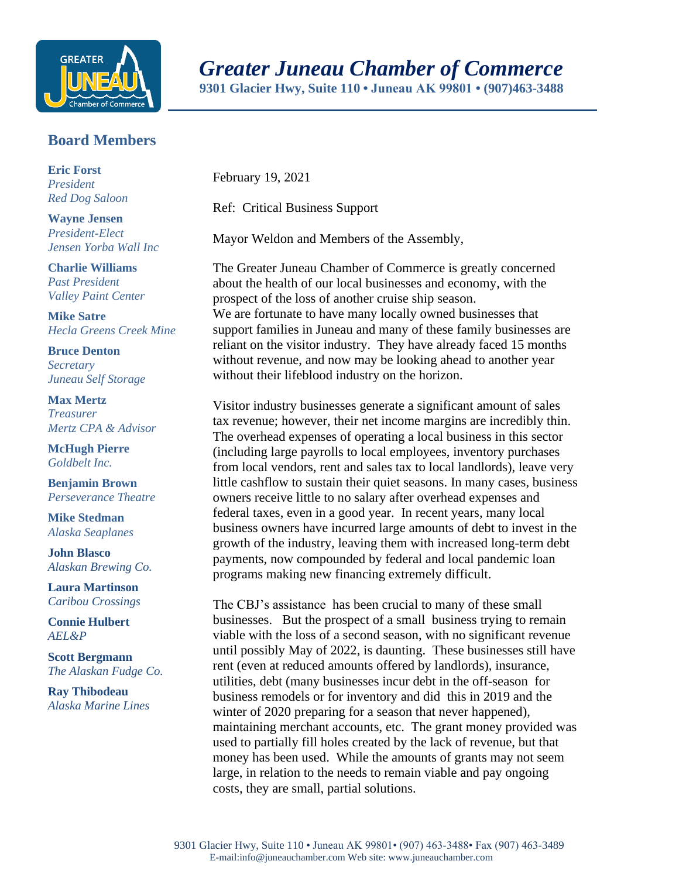

## *Greater Juneau Chamber of Commerce*

**9301 Glacier Hwy, Suite 110 • Juneau AK 99801 • (907)463-3488** 

## **Board Members**

**Eric Forst** *President Red Dog Saloon*

**Wayne Jensen** *President-Elect Jensen Yorba Wall Inc*

**Charlie Williams** *Past President Valley Paint Center*

**Mike Satre**  *Hecla Greens Creek Mine*

**Bruce Denton** *Secretary Juneau Self Storage*

**Max Mertz** *Treasurer Mertz CPA & Advisor*

**McHugh Pierre** *Goldbelt Inc.*

**Benjamin Brown** *Perseverance Theatre*

**Mike Stedman** *Alaska Seaplanes*

**John Blasco** *Alaskan Brewing Co.*

**Laura Martinson** *Caribou Crossings*

**Connie Hulbert**  *AEL&P* 

**Scott Bergmann** *The Alaskan Fudge Co.*

**Ray Thibodeau** *Alaska Marine Lines* February 19, 2021

Ref: Critical Business Support

Mayor Weldon and Members of the Assembly,

The Greater Juneau Chamber of Commerce is greatly concerned about the health of our local businesses and economy, with the prospect of the loss of another cruise ship season. We are fortunate to have many locally owned businesses that support families in Juneau and many of these family businesses are reliant on the visitor industry. They have already faced 15 months without revenue, and now may be looking ahead to another year without their lifeblood industry on the horizon.

Visitor industry businesses generate a significant amount of sales tax revenue; however, their net income margins are incredibly thin. The overhead expenses of operating a local business in this sector (including large payrolls to local employees, inventory purchases from local vendors, rent and sales tax to local landlords), leave very little cashflow to sustain their quiet seasons. In many cases, business owners receive little to no salary after overhead expenses and federal taxes, even in a good year. In recent years, many local business owners have incurred large amounts of debt to invest in the growth of the industry, leaving them with increased long-term debt payments, now compounded by federal and local pandemic loan programs making new financing extremely difficult.

The CBJ's assistance has been crucial to many of these small businesses. But the prospect of a small business trying to remain viable with the loss of a second season, with no significant revenue until possibly May of 2022, is daunting. These businesses still have rent (even at reduced amounts offered by landlords), insurance, utilities, debt (many businesses incur debt in the off-season for business remodels or for inventory and did this in 2019 and the winter of 2020 preparing for a season that never happened), maintaining merchant accounts, etc. The grant money provided was used to partially fill holes created by the lack of revenue, but that money has been used. While the amounts of grants may not seem large, in relation to the needs to remain viable and pay ongoing costs, they are small, partial solutions.